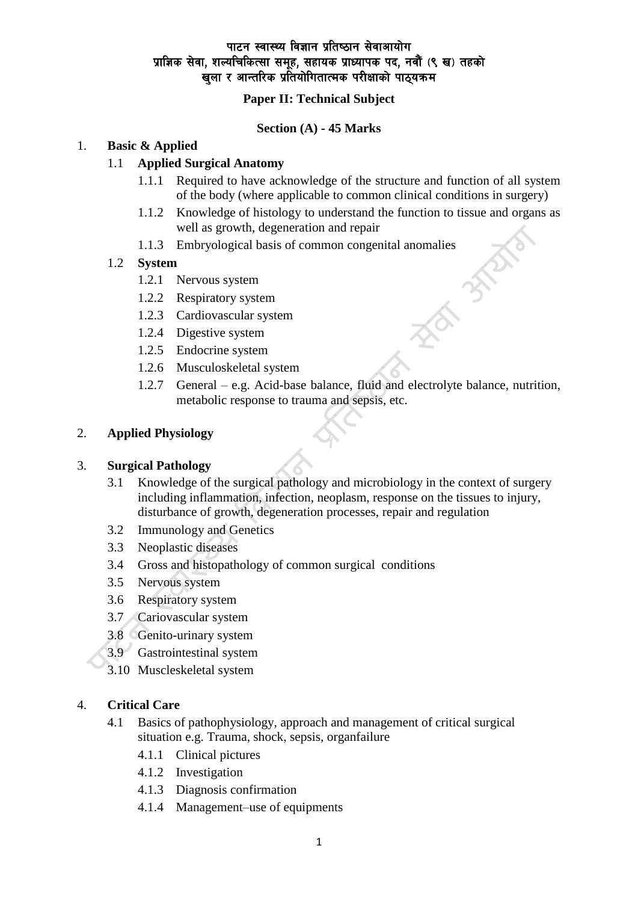## **Paper II: Technical Subject**

### **Section (A) - 45 Marks**

#### 1. **Basic & Applied**

### 1.1 **Applied Surgical Anatomy**

- 1.1.1 Required to have acknowledge of the structure and function of all system of the body (where applicable to common clinical conditions in surgery)
- 1.1.2 Knowledge of histology to understand the function to tissue and organs as well as growth, degeneration and repair

 $\frac{1}{3}$ 

1.1.3 Embryological basis of common congenital anomalies

### 1.2 **System**

- 1.2.1 Nervous system
- 1.2.2 Respiratory system
- 1.2.3 Cardiovascular system
- 1.2.4 Digestive system
- 1.2.5 Endocrine system
- 1.2.6 Musculoskeletal system
- 1.2.7 General e.g. Acid-base balance, fluid and electrolyte balance, nutrition, metabolic response to trauma and sepsis, etc.

#### 2. **Applied Physiology**

#### 3. **Surgical Pathology**

- 3.1 Knowledge of the surgical pathology and microbiology in the context of surgery including inflammation, infection, neoplasm, response on the tissues to injury, disturbance of growth, degeneration processes, repair and regulation
- 3.2 Immunology and Genetics
- 3.3 Neoplastic diseases
- 3.4 Gross and histopathology of common surgical conditions
- 3.5 Nervous system
- 3.6 Respiratory system
- 3.7 Cariovascular system
- 3.8 Genito-urinary system
- 3.9 Gastrointestinal system
- 3.10 Muscleskeletal system

#### 4. **Critical Care**

- 4.1 Basics of pathophysiology, approach and management of critical surgical situation e.g. Trauma, shock, sepsis, organfailure
	- 4.1.1 Clinical pictures
	- 4.1.2 Investigation
	- 4.1.3 Diagnosis confirmation
	- 4.1.4 Management–use of equipments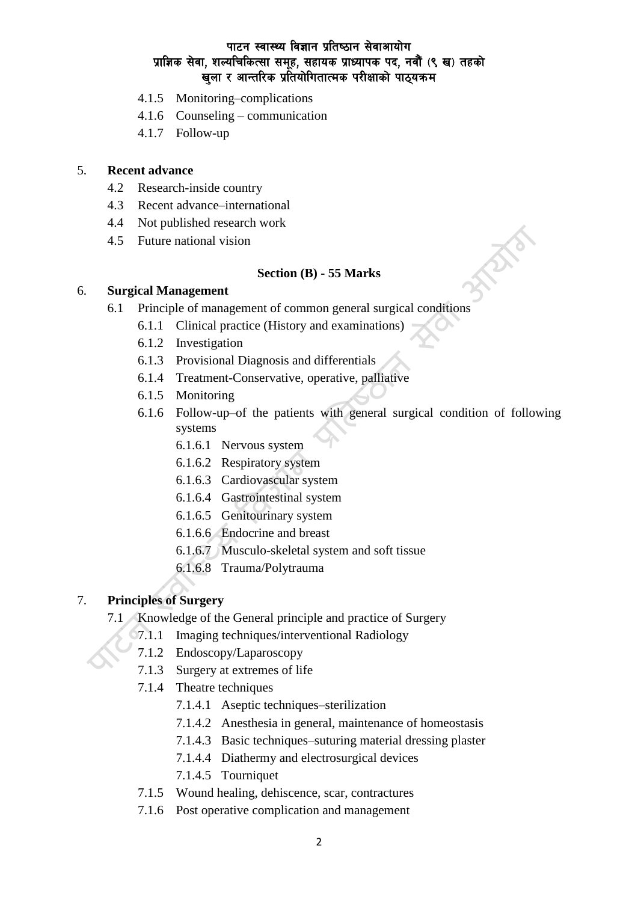- 4.1.5 Monitoring–complications
- 4.1.6 Counseling communication
- 4.1.7 Follow-up

### 5. **Recent advance**

- 4.2 Research-inside country
- 4.3 Recent advance–international
- 4.4 Not published research work
- 4.5 Future national vision

### **Section (B) - 55 Marks**

### 6. **Surgical Management**

- 6.1 Principle of management of common general surgical conditions
	- 6.1.1 Clinical practice (History and examinations)
	- 6.1.2 Investigation
	- 6.1.3 Provisional Diagnosis and differentials
	- 6.1.4 Treatment-Conservative, operative, palliative
	- 6.1.5 Monitoring
	- 6.1.6 Follow-up–of the patients with general surgical condition of following systems

**FRATS** 

- 6.1.6.1 Nervous system
- 6.1.6.2 Respiratory system
- 6.1.6.3 Cardiovascular system
- 6.1.6.4 Gastrointestinal system
- 6.1.6.5 Genitourinary system
- 6.1.6.6 Endocrine and breast
- 6.1.6.7 Musculo-skeletal system and soft tissue
- 6.1.6.8 Trauma/Polytrauma

# 7. **Principles of Surgery**

- 7.1 Knowledge of the General principle and practice of Surgery
	- 7.1.1 Imaging techniques/interventional Radiology
		- 7.1.2 Endoscopy/Laparoscopy
		- 7.1.3 Surgery at extremes of life
		- 7.1.4 Theatre techniques
			- 7.1.4.1 Aseptic techniques–sterilization
			- 7.1.4.2 Anesthesia in general, maintenance of homeostasis
			- 7.1.4.3 Basic techniques–suturing material dressing plaster
			- 7.1.4.4 Diathermy and electrosurgical devices
			- 7.1.4.5 Tourniquet
		- 7.1.5 Wound healing, dehiscence, scar, contractures
		- 7.1.6 Post operative complication and management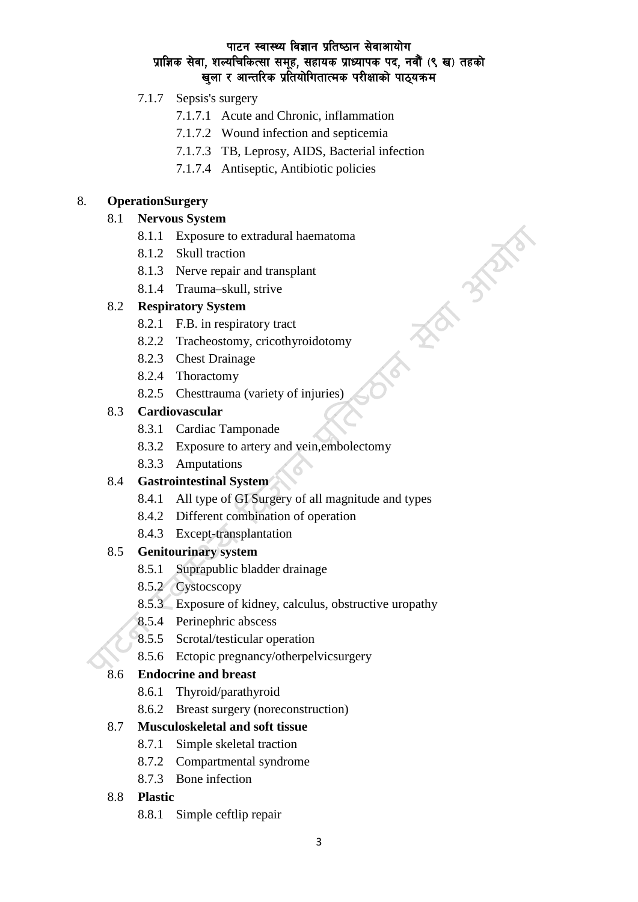# 7.1.7 Sepsis's surgery

- 7.1.7.1 Acute and Chronic, inflammation
- 7.1.7.2 Wound infection and septicemia
- 7.1.7.3 TB, Leprosy, AIDS, Bacterial infection

**REATING** 

 $\hat{\mathcal{C}}$ 

7.1.7.4 Antiseptic, Antibiotic policies

## 8. **OperationSurgery**

## 8.1 **Nervous System**

- 8.1.1 Exposure to extradural haematoma
- 8.1.2 Skull traction
- 8.1.3 Nerve repair and transplant
- 8.1.4 Trauma–skull, strive

# 8.2 **Respiratory System**

- 8.2.1 F.B. in respiratory tract
- 8.2.2 Tracheostomy, cricothyroidotomy
- 8.2.3 Chest Drainage
- 8.2.4 Thoractomy
- 8.2.5 Chesttrauma (variety of injuries)

## 8.3 **Cardiovascular**

- 8.3.1 Cardiac Tamponade
- 8.3.2 Exposure to artery and vein,embolectomy
- 8.3.3 Amputations

## 8.4 **Gastrointestinal System**

- 8.4.1 All type of GI Surgery of all magnitude and types
- 8.4.2 Different combination of operation
- 8.4.3 Except-transplantation

# 8.5 **Genitourinary system**

- 8.5.1 Suprapublic bladder drainage
- 8.5.2 Cystocscopy
- 8.5.3 Exposure of kidney, calculus, obstructive uropathy
- 8.5.4 Perinephric abscess
- 8.5.5 Scrotal/testicular operation
- 8.5.6 Ectopic pregnancy/otherpelvicsurgery

# 8.6 **Endocrine and breast**

- 8.6.1 Thyroid/parathyroid
- 8.6.2 Breast surgery (noreconstruction)

# 8.7 **Musculoskeletal and soft tissue**

- 8.7.1 Simple skeletal traction
- 8.7.2 Compartmental syndrome
- 8.7.3 Bone infection

## 8.8 **Plastic**

8.8.1 Simple ceftlip repair